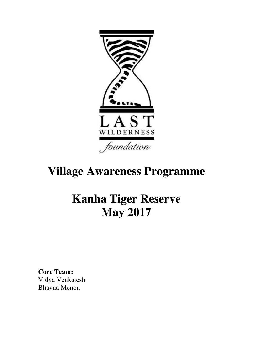

# **Village Awareness Programme**

## **Kanha Tiger Reserve May 2017**

**Core Team:**  Vidya Venkatesh Bhavna Menon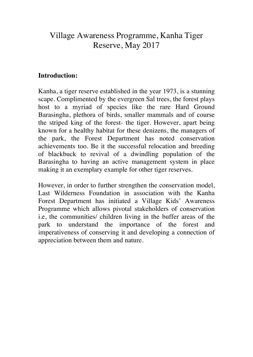### Village Awareness Programme, Kanha Tiger Reserve, May 2017

#### **Introduction:**

Kanha, a tiger reserve established in the year 1973, is a stunning scape. Complimented by the evergreen Sal trees, the forest plays host to a myriad of species like the rare Hard Ground Barasingha, plethora of birds, smaller mammals and of course the striped king of the forest- the tiger. However, apart being known for a healthy habitat for these denizens, the managers of the park, the Forest Department has noted conservation achievements too. Be it the successful relocation and breeding of blackbuck to revival of a dwindling population of the Barasingha to having an active management system in place making it an exemplary example for other tiger reserves.

However, in order to further strengthen the conservation model, Last Wilderness Foundation in association with the Kanha Forest Department has initiated a Village Kids' Awareness Programme which allows pivotal stakeholders of conservation i.e, the communities/ children living in the buffer areas of the park to understand the importance of the forest and imperativeness of conserving it and developing a connection of appreciation between them and nature.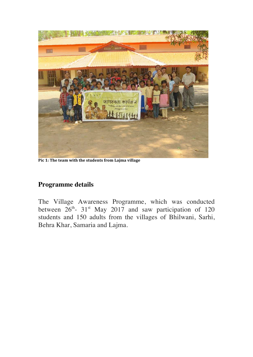

**Pic 1:** The team with the students from Lajma village

#### **Programme details**

The Village Awareness Programme, which was conducted between  $26^{th}$ - 31<sup>st</sup> May 2017 and saw participation of 120 students and 150 adults from the villages of Bhilwani, Sarhi, Behra Khar, Samaria and Lajma.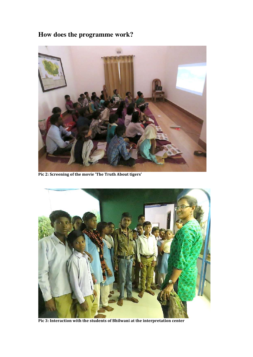## **How does the programme work?**



Pic 2: Screening of the movie 'The Truth About tigers'



Pic 3: Interaction with the students of Bhilwani at the interpretation center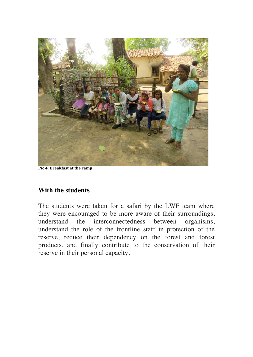

**Pic 4: Breakfast at the camp** 

#### **With the students**

The students were taken for a safari by the LWF team where they were encouraged to be more aware of their surroundings, understand the interconnectedness between organisms, understand the role of the frontline staff in protection of the reserve, reduce their dependency on the forest and forest products, and finally contribute to the conservation of their reserve in their personal capacity.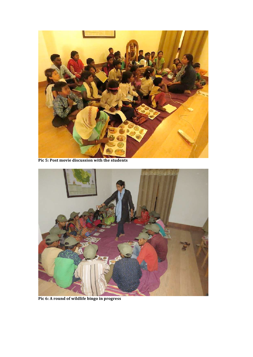

Pic 5: Post movie discussion with the students



Pic 6: A round of wildlife bingo in progress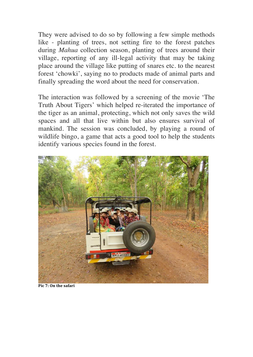They were advised to do so by following a few simple methods like - planting of trees, not setting fire to the forest patches during *Mahua* collection season, planting of trees around their village, reporting of any ill-legal activity that may be taking place around the village like putting of snares etc. to the nearest forest 'chowki', saying no to products made of animal parts and finally spreading the word about the need for conservation.

The interaction was followed by a screening of the movie 'The Truth About Tigers' which helped re-iterated the importance of the tiger as an animal, protecting, which not only saves the wild spaces and all that live within but also ensures survival of mankind. The session was concluded, by playing a round of wildlife bingo, a game that acts a good tool to help the students identify various species found in the forest.



**Pic 7: On the safari**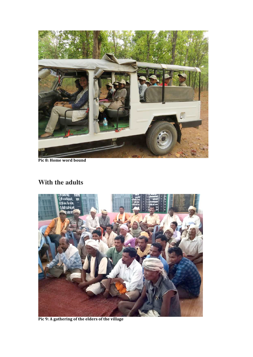

**Pic 8: Home word bound** 

### **With the adults**



Pic 9: A gathering of the elders of the village